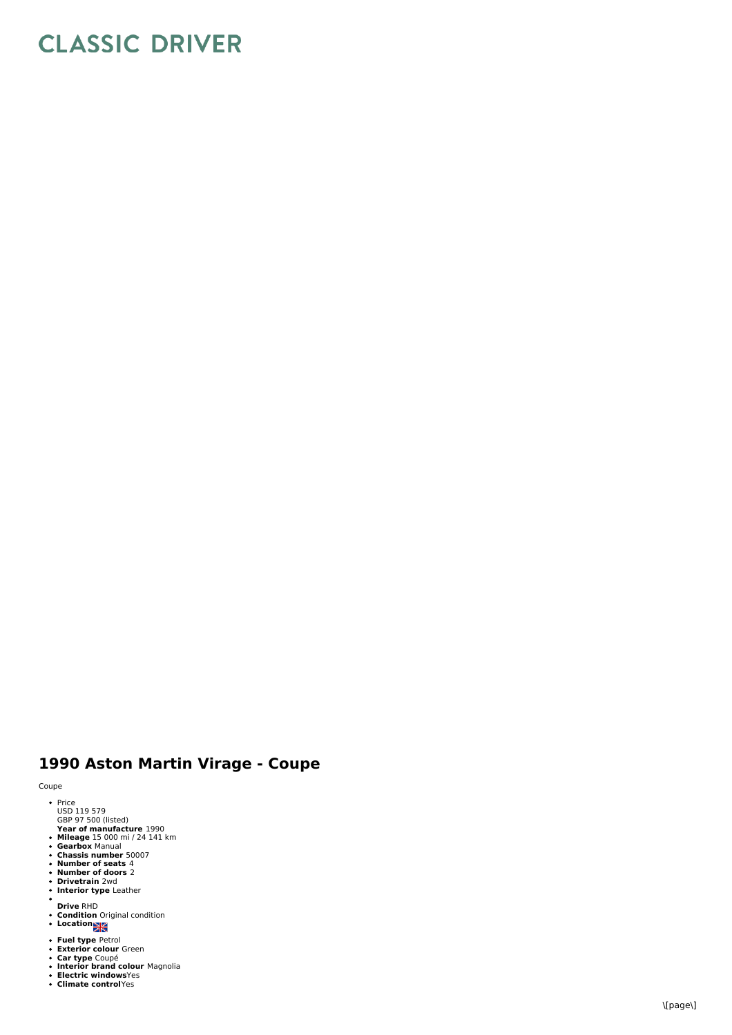## **CLASSIC DRIVER**

## 1990 Aston Martin Virage - Coupe

Coupe

- e<br>Price<br>USD 119 579<br>GBP 97 500 (listed)
- 
- Year of manufacture 1990<br>Mileage 15 000 mi / 24 141 km<br>Gearbox Manual<br>Chassis number 50007<br>Number of doors 2<br>Drivetrain 2wd<br>Interior type Leather
- 
- 
- 
- **Interior type** Leather
- $\bullet$
- **D riv e** R H D **C o n ditio n** O rigin al c o n ditio n **L o c a tio n**
- 
- 
- 
- Fuel type Petrol<br>Exterior colour Green<br>Car type Coupé<br>Interior brand colour Magnolia<br>Electric windowsYes<br>Climate controlYes
-